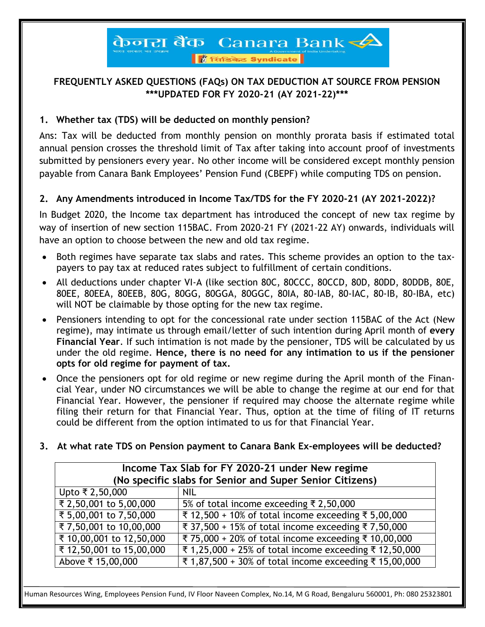## केनरा बैंक Canara Bank

ि सिंडिकेट Syndicate

#### **FREQUENTLY ASKED QUESTIONS (FAQs) ON TAX DEDUCTION AT SOURCE FROM PENSION \*\*\*UPDATED FOR FY 2020-21 (AY 2021-22)\*\*\***

#### **1. Whether tax (TDS) will be deducted on monthly pension?**

Ans: Tax will be deducted from monthly pension on monthly prorata basis if estimated total annual pension crosses the threshold limit of Tax after taking into account proof of investments submitted by pensioners every year. No other income will be considered except monthly pension payable from Canara Bank Employees' Pension Fund (CBEPF) while computing TDS on pension.

#### **2. Any Amendments introduced in Income Tax/TDS for the FY 2020-21 (AY 2021-2022)?**

In Budget 2020, the Income tax department has introduced the concept of new tax regime by way of insertion of new section 115BAC. From 2020-21 FY (2021-22 AY) onwards, individuals will have an option to choose between the new and old tax regime.

- Both regimes have separate tax slabs and rates. This scheme provides an option to the taxpayers to pay tax at reduced rates subject to fulfillment of certain conditions.
- All deductions under chapter VI-A (like section 80C, 80CCC, 80CCD, 80D, 80DD, 80DDB, 80E, 80EE, 80EEA, 80EEB, 80G, 80GG, 80GGA, 80GGC, 80IA, 80-IAB, 80-IAC, 80-IB, 80-IBA, etc) will NOT be claimable by those opting for the new tax regime.
- Pensioners intending to opt for the concessional rate under section 115BAC of the Act (New regime), may intimate us through email/letter of such intention during April month of **every Financial Year**. If such intimation is not made by the pensioner, TDS will be calculated by us under the old regime. **Hence, there is no need for any intimation to us if the pensioner opts for old regime for payment of tax.**
- Once the pensioners opt for old regime or new regime during the April month of the Financial Year, under NO circumstances we will be able to change the regime at our end for that Financial Year. However, the pensioner if required may choose the alternate regime while filing their return for that Financial Year. Thus, option at the time of filing of IT returns could be different from the option intimated to us for that Financial Year.
- **3. At what rate TDS on Pension payment to Canara Bank Ex-employees will be deducted?**

| Income Tax Slab for FY 2020-21 under New regime          |                                                                |  |
|----------------------------------------------------------|----------------------------------------------------------------|--|
| (No specific slabs for Senior and Super Senior Citizens) |                                                                |  |
| Upto ₹ 2,50,000                                          | <b>NIL</b>                                                     |  |
| ₹ 2,50,001 to 5,00,000                                   | 5% of total income exceeding ₹ 2,50,000                        |  |
| ₹ 5,00,001 to 7,50,000                                   | ₹ 12,500 + 10% of total income exceeding $\bar{x}$ 5,00,000    |  |
| ₹7,50,001 to 10,00,000                                   | ₹ 37,500 + 15% of total income exceeding ₹ 7,50,000            |  |
| ₹ 10,00,001 to 12,50,000                                 | ₹ 75,000 + 20% of total income exceeding ₹ 10,00,000           |  |
| ₹ 12,50,001 to 15,00,000                                 | ₹ 1,25,000 + 25% of total income exceeding $\bar{x}$ 12,50,000 |  |
| Above ₹ 15,00,000                                        | ₹ 1,87,500 + 30% of total income exceeding ₹ 15,00,000         |  |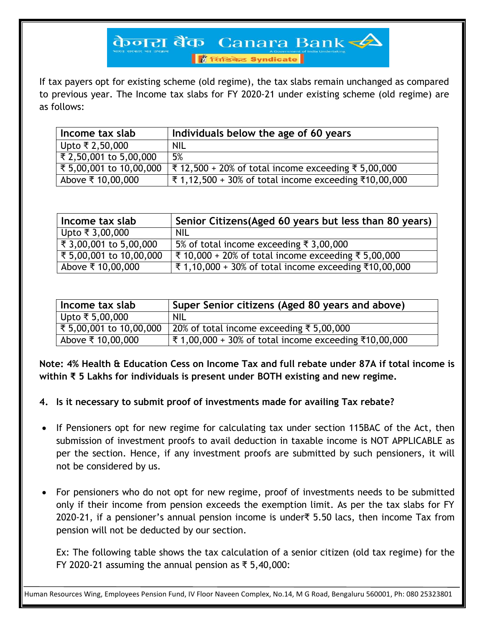## केनरा बैंक Canara Bank $\blacktriangle$

ि सिंडिकेट Syndicate

If tax payers opt for existing scheme (old regime), the tax slabs remain unchanged as compared to previous year. The Income tax slabs for FY 2020-21 under existing scheme (old regime) are as follows:

| Income tax slab         | Individuals below the age of 60 years                                      |
|-------------------------|----------------------------------------------------------------------------|
| Upto ₹ 2,50,000         | <b>NIL</b>                                                                 |
| र 2,50,001 to 5,00,000  | 5%                                                                         |
| ₹ 5,00,001 to 10,00,000 | ₹ 12,500 + 20% of total income exceeding $\bar{x}$ 5,00,000                |
| Above ₹ 10,00,000       | ₹ 1,12,500 + 30% of total income exceeding $\text{\textsterling}10,00,000$ |

| Income tax slab         | Senior Citizens(Aged 60 years but less than 80 years)          |
|-------------------------|----------------------------------------------------------------|
| Upto ₹ 3,00,000         | <b>NIL</b>                                                     |
| ₹ 3,00,001 to 5,00,000  | 5% of total income exceeding $\overline{\xi}$ 3,00,000         |
| ₹ 5,00,001 to 10,00,000 | ₹ 10,000 + 20% of total income exceeding $\bar{x}$ 5,00,000    |
| Above ₹ 10,00,000       | ₹ 1,10,000 + 30% of total income exceeding $\bar{x}$ 10,00,000 |

| Income tax slab         | Super Senior citizens (Aged 80 years and above)                |
|-------------------------|----------------------------------------------------------------|
| Upto ₹ 5,00,000         | <b>NIL</b>                                                     |
| ₹ 5,00,001 to 10,00,000 | 20% of total income exceeding ₹ 5,00,000                       |
| Above ₹ 10,00,000       | ₹ 1,00,000 + 30% of total income exceeding $\bar{x}$ 10,00,000 |

**Note: 4% Health & Education Cess on Income Tax and full rebate under 87A if total income is within ₹ 5 Lakhs for individuals is present under BOTH existing and new regime.**

- **4. Is it necessary to submit proof of investments made for availing Tax rebate?**
- If Pensioners opt for new regime for calculating tax under section 115BAC of the Act, then submission of investment proofs to avail deduction in taxable income is NOT APPLICABLE as per the section. Hence, if any investment proofs are submitted by such pensioners, it will not be considered by us.
- For pensioners who do not opt for new regime, proof of investments needs to be submitted only if their income from pension exceeds the exemption limit. As per the tax slabs for FY 2020-21, if a pensioner's annual pension income is under₹ 5.50 lacs, then income Tax from pension will not be deducted by our section.

Ex: The following table shows the tax calculation of a senior citizen (old tax regime) for the FY 2020-21 assuming the annual pension as ₹ 5,40,000: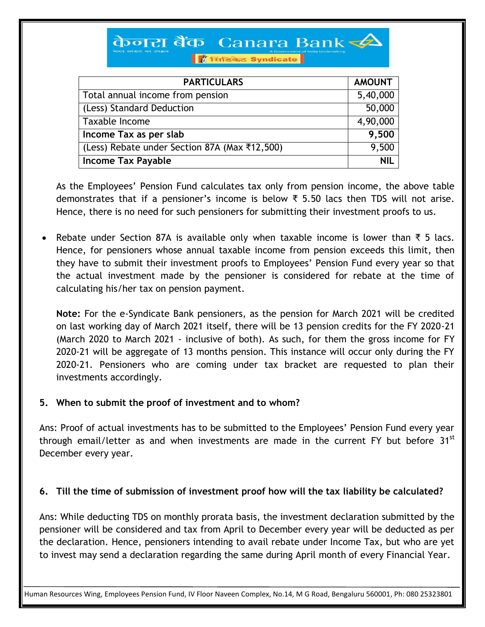# केनरा बैंक Canara Bank

ि सिंडिकेट Syndicate

| <b>PARTICULARS</b>                            | <b>AMOUNT</b> |
|-----------------------------------------------|---------------|
| Total annual income from pension              | 5,40,000      |
| (Less) Standard Deduction                     | 50,000        |
| Taxable Income                                | 4,90,000      |
| Income Tax as per slab                        | 9,500         |
| (Less) Rebate under Section 87A (Max ₹12,500) | 9,500         |
| <b>Income Tax Payable</b>                     | <b>NIL</b>    |

As the Employees' Pension Fund calculates tax only from pension income, the above table demonstrates that if a pensioner's income is below ₹ 5.50 lacs then TDS will not arise. Hence, there is no need for such pensioners for submitting their investment proofs to us.

 Rebate under Section 87A is available only when taxable income is lower than ₹ 5 lacs. Hence, for pensioners whose annual taxable income from pension exceeds this limit, then they have to submit their investment proofs to Employees' Pension Fund every year so that the actual investment made by the pensioner is considered for rebate at the time of calculating his/her tax on pension payment.

**Note:** For the e-Syndicate Bank pensioners, as the pension for March 2021 will be credited on last working day of March 2021 itself, there will be 13 pension credits for the FY 2020-21 (March 2020 to March 2021 - inclusive of both). As such, for them the gross income for FY 2020-21 will be aggregate of 13 months pension. This instance will occur only during the FY 2020-21. Pensioners who are coming under tax bracket are requested to plan their investments accordingly.

#### **5. When to submit the proof of investment and to whom?**

Ans: Proof of actual investments has to be submitted to the Employees' Pension Fund every year through email/letter as and when investments are made in the current FY but before 31<sup>st</sup> December every year.

#### **6. Till the time of submission of investment proof how will the tax liability be calculated?**

Ans: While deducting TDS on monthly prorata basis, the investment declaration submitted by the pensioner will be considered and tax from April to December every year will be deducted as per the declaration. Hence, pensioners intending to avail rebate under Income Tax, but who are yet to invest may send a declaration regarding the same during April month of every Financial Year.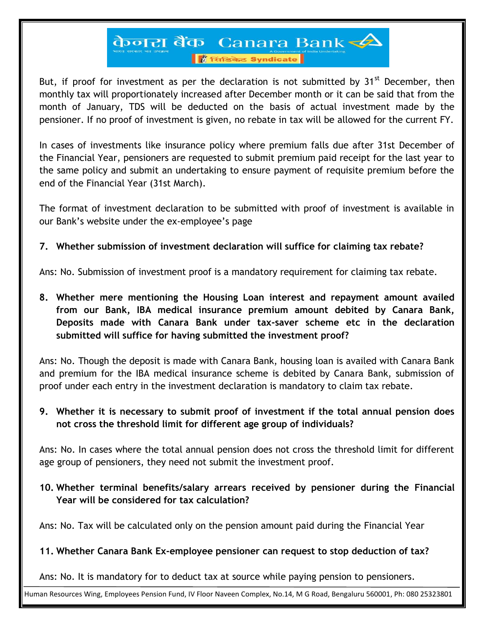### केनरा बैंक Canara Bank ि सिंडिकेट Syndicate

But, if proof for investment as per the declaration is not submitted by  $31<sup>st</sup>$  December, then monthly tax will proportionately increased after December month or it can be said that from the month of January, TDS will be deducted on the basis of actual investment made by the pensioner. If no proof of investment is given, no rebate in tax will be allowed for the current FY.

In cases of investments like insurance policy where premium falls due after 31st December of the Financial Year, pensioners are requested to submit premium paid receipt for the last year to the same policy and submit an undertaking to ensure payment of requisite premium before the end of the Financial Year (31st March).

The format of investment declaration to be submitted with proof of investment is available in our Bank's website under the ex-employee's page

#### **7. Whether submission of investment declaration will suffice for claiming tax rebate?**

Ans: No. Submission of investment proof is a mandatory requirement for claiming tax rebate.

**8. Whether mere mentioning the Housing Loan interest and repayment amount availed from our Bank, IBA medical insurance premium amount debited by Canara Bank, Deposits made with Canara Bank under tax-saver scheme etc in the declaration submitted will suffice for having submitted the investment proof?**

Ans: No. Though the deposit is made with Canara Bank, housing loan is availed with Canara Bank and premium for the IBA medical insurance scheme is debited by Canara Bank, submission of proof under each entry in the investment declaration is mandatory to claim tax rebate.

#### **9. Whether it is necessary to submit proof of investment if the total annual pension does not cross the threshold limit for different age group of individuals?**

Ans: No. In cases where the total annual pension does not cross the threshold limit for different age group of pensioners, they need not submit the investment proof.

#### **10. Whether terminal benefits/salary arrears received by pensioner during the Financial Year will be considered for tax calculation?**

Ans: No. Tax will be calculated only on the pension amount paid during the Financial Year

#### **11. Whether Canara Bank Ex-employee pensioner can request to stop deduction of tax?**

Ans: No. It is mandatory for to deduct tax at source while paying pension to pensioners.